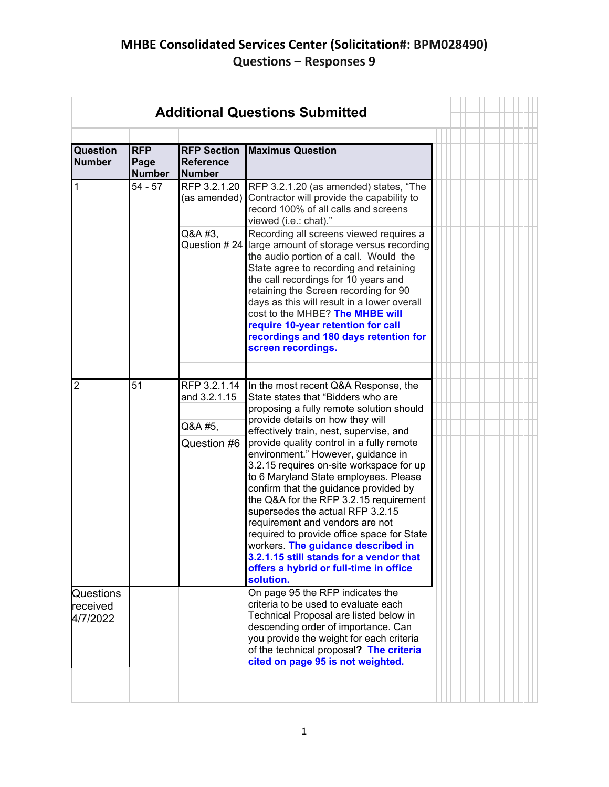## **MHBE Consolidated Services Center (Solicitation#: BPM028490) Questions – Responses 9**

| <b>Additional Questions Submitted</b> |                                     |                                                         |                                                                                                                                                                                                                                                                                                                                                                                                                                                                                                                                                                                                                                                                                                                                                                   |  |  |  |  |  |
|---------------------------------------|-------------------------------------|---------------------------------------------------------|-------------------------------------------------------------------------------------------------------------------------------------------------------------------------------------------------------------------------------------------------------------------------------------------------------------------------------------------------------------------------------------------------------------------------------------------------------------------------------------------------------------------------------------------------------------------------------------------------------------------------------------------------------------------------------------------------------------------------------------------------------------------|--|--|--|--|--|
|                                       |                                     |                                                         |                                                                                                                                                                                                                                                                                                                                                                                                                                                                                                                                                                                                                                                                                                                                                                   |  |  |  |  |  |
| Question<br><b>Number</b>             | <b>RFP</b><br>Page<br><b>Number</b> | <b>RFP Section</b><br><b>Reference</b><br><b>Number</b> | <b>Maximus Question</b>                                                                                                                                                                                                                                                                                                                                                                                                                                                                                                                                                                                                                                                                                                                                           |  |  |  |  |  |
| $\mathbf{1}$                          | $54 - 57$                           | (as amended)                                            | RFP 3.2.1.20 RFP 3.2.1.20 (as amended) states, "The<br>Contractor will provide the capability to<br>record 100% of all calls and screens<br>viewed (i.e.: chat)."                                                                                                                                                                                                                                                                                                                                                                                                                                                                                                                                                                                                 |  |  |  |  |  |
|                                       |                                     | Q&A #3,                                                 | Recording all screens viewed requires a<br>Question # 24 large amount of storage versus recording<br>the audio portion of a call. Would the<br>State agree to recording and retaining<br>the call recordings for 10 years and<br>retaining the Screen recording for 90<br>days as this will result in a lower overall<br>cost to the MHBE? The MHBE will<br>require 10-year retention for call<br>recordings and 180 days retention for<br>screen recordings.                                                                                                                                                                                                                                                                                                     |  |  |  |  |  |
|                                       |                                     |                                                         |                                                                                                                                                                                                                                                                                                                                                                                                                                                                                                                                                                                                                                                                                                                                                                   |  |  |  |  |  |
| $\overline{2}$<br>Questions           | 51                                  | RFP 3.2.1.14<br>and 3.2.1.15<br>Q&A #5,<br>Question #6  | In the most recent Q&A Response, the<br>State states that "Bidders who are<br>proposing a fully remote solution should<br>provide details on how they will<br>effectively train, nest, supervise, and<br>provide quality control in a fully remote<br>environment." However, guidance in<br>3.2.15 requires on-site workspace for up<br>to 6 Maryland State employees. Please<br>confirm that the guidance provided by<br>the Q&A for the RFP 3.2.15 requirement<br>supersedes the actual RFP 3.2.15<br>requirement and vendors are not<br>required to provide office space for State<br>workers. The guidance described in<br>3.2.1.15 still stands for a vendor that<br>offers a hybrid or full-time in office<br>solution.<br>On page 95 the RFP indicates the |  |  |  |  |  |
| lreceived<br>4/7/2022                 |                                     |                                                         | criteria to be used to evaluate each<br>Technical Proposal are listed below in<br>descending order of importance. Can<br>you provide the weight for each criteria<br>of the technical proposal? The criteria<br>cited on page 95 is not weighted.                                                                                                                                                                                                                                                                                                                                                                                                                                                                                                                 |  |  |  |  |  |
|                                       |                                     |                                                         |                                                                                                                                                                                                                                                                                                                                                                                                                                                                                                                                                                                                                                                                                                                                                                   |  |  |  |  |  |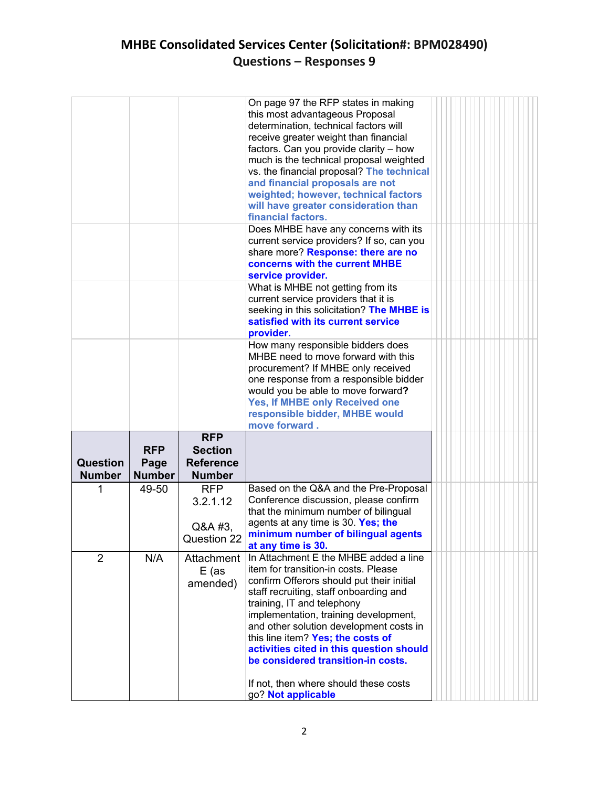## **MHBE Consolidated Services Center (Solicitation#: BPM028490) Questions – Responses 9**

|                           |                                     |                                                                   | On page 97 the RFP states in making<br>this most advantageous Proposal<br>determination, technical factors will<br>receive greater weight than financial<br>factors. Can you provide clarity - how<br>much is the technical proposal weighted<br>vs. the financial proposal? The technical<br>and financial proposals are not<br>weighted; however, technical factors<br>will have greater consideration than<br>financial factors.                                          |  |
|---------------------------|-------------------------------------|-------------------------------------------------------------------|------------------------------------------------------------------------------------------------------------------------------------------------------------------------------------------------------------------------------------------------------------------------------------------------------------------------------------------------------------------------------------------------------------------------------------------------------------------------------|--|
|                           |                                     |                                                                   | Does MHBE have any concerns with its<br>current service providers? If so, can you<br>share more? Response: there are no<br>concerns with the current MHBE<br>service provider.                                                                                                                                                                                                                                                                                               |  |
|                           |                                     |                                                                   | What is MHBE not getting from its<br>current service providers that it is<br>seeking in this solicitation? The MHBE is<br>satisfied with its current service<br>provider.                                                                                                                                                                                                                                                                                                    |  |
|                           |                                     |                                                                   | How many responsible bidders does<br>MHBE need to move forward with this<br>procurement? If MHBE only received<br>one response from a responsible bidder<br>would you be able to move forward?<br>Yes, If MHBE only Received one<br>responsible bidder, MHBE would<br>move forward.                                                                                                                                                                                          |  |
| Question<br><b>Number</b> | <b>RFP</b><br>Page<br><b>Number</b> | <b>RFP</b><br><b>Section</b><br><b>Reference</b><br><b>Number</b> |                                                                                                                                                                                                                                                                                                                                                                                                                                                                              |  |
| 1                         | 49-50                               | <b>RFP</b><br>3.2.1.12<br>Q&A #3,<br>Question 22                  | Based on the Q&A and the Pre-Proposal<br>Conference discussion, please confirm<br>that the minimum number of bilingual<br>agents at any time is 30. Yes; the<br>minimum number of bilingual agents<br>at any time is 30.                                                                                                                                                                                                                                                     |  |
| $\overline{2}$            | N/A                                 | Attachment<br>$E$ (as<br>amended)                                 | In Attachment E the MHBE added a line<br>item for transition-in costs. Please<br>confirm Offerors should put their initial<br>staff recruiting, staff onboarding and<br>training, IT and telephony<br>implementation, training development,<br>and other solution development costs in<br>this line item? Yes; the costs of<br>activities cited in this question should<br>be considered transition-in costs.<br>If not, then where should these costs<br>go? Not applicable |  |